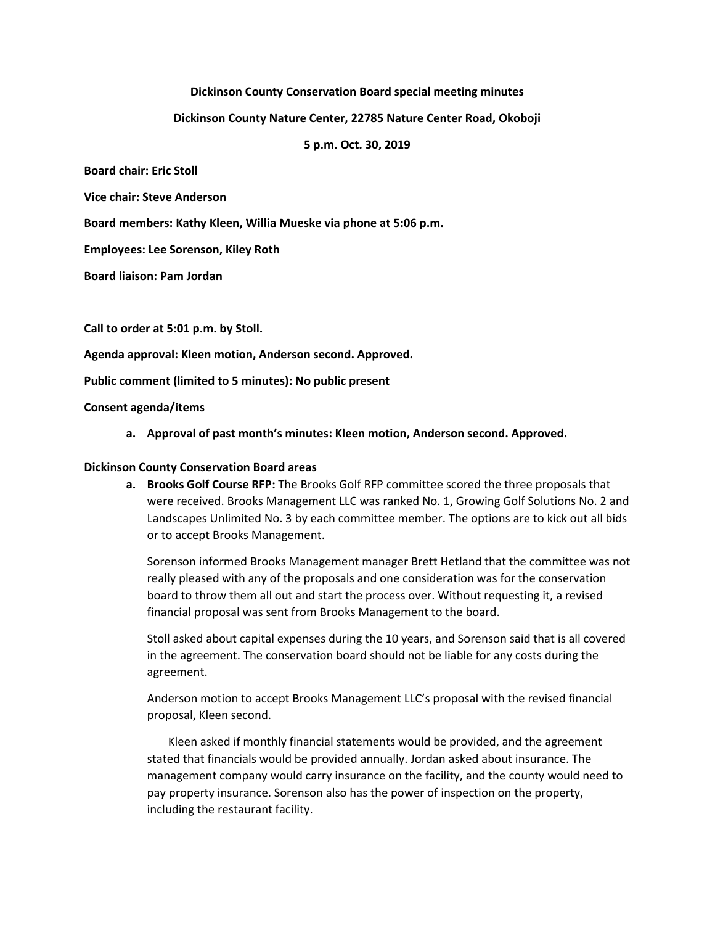# **Dickinson County Conservation Board special meeting minutes**

## **Dickinson County Nature Center, 22785 Nature Center Road, Okoboji**

# **5 p.m. Oct. 30, 2019**

**Board chair: Eric Stoll**

**Vice chair: Steve Anderson**

**Board members: Kathy Kleen, Willia Mueske via phone at 5:06 p.m.**

**Employees: Lee Sorenson, Kiley Roth**

**Board liaison: Pam Jordan**

**Call to order at 5:01 p.m. by Stoll.**

**Agenda approval: Kleen motion, Anderson second. Approved.**

**Public comment (limited to 5 minutes): No public present**

#### **Consent agenda/items**

**a. Approval of past month's minutes: Kleen motion, Anderson second. Approved.**

### **Dickinson County Conservation Board areas**

**a. Brooks Golf Course RFP:** The Brooks Golf RFP committee scored the three proposals that were received. Brooks Management LLC was ranked No. 1, Growing Golf Solutions No. 2 and Landscapes Unlimited No. 3 by each committee member. The options are to kick out all bids or to accept Brooks Management.

Sorenson informed Brooks Management manager Brett Hetland that the committee was not really pleased with any of the proposals and one consideration was for the conservation board to throw them all out and start the process over. Without requesting it, a revised financial proposal was sent from Brooks Management to the board.

Stoll asked about capital expenses during the 10 years, and Sorenson said that is all covered in the agreement. The conservation board should not be liable for any costs during the agreement.

Anderson motion to accept Brooks Management LLC's proposal with the revised financial proposal, Kleen second.

Kleen asked if monthly financial statements would be provided, and the agreement stated that financials would be provided annually. Jordan asked about insurance. The management company would carry insurance on the facility, and the county would need to pay property insurance. Sorenson also has the power of inspection on the property, including the restaurant facility.